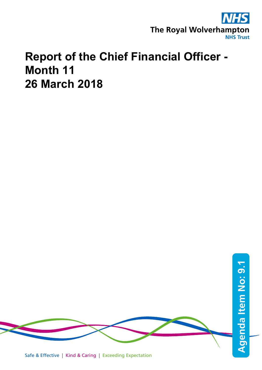

## **Report of the Chief Financial Officer - Month 11 26 March 2018**

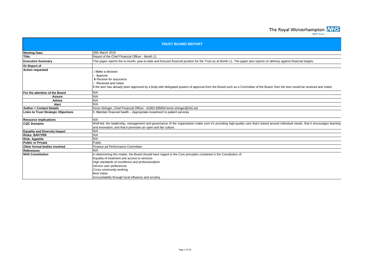The Royal Wolverhampton **NHS** 

| <b>TRUST BOARD REPORT</b>                                                                                                                                                                                                                                                                                                                                |  |  |  |  |  |  |
|----------------------------------------------------------------------------------------------------------------------------------------------------------------------------------------------------------------------------------------------------------------------------------------------------------------------------------------------------------|--|--|--|--|--|--|
| 26th March 2018                                                                                                                                                                                                                                                                                                                                          |  |  |  |  |  |  |
| Report of the Chief Financial Officer - Month 11                                                                                                                                                                                                                                                                                                         |  |  |  |  |  |  |
| This paper reports the in-month, year-to-date and forecast financial position for the Trust as at Month 11. The paper also reports on delivery against financial targets.                                                                                                                                                                                |  |  |  |  |  |  |
|                                                                                                                                                                                                                                                                                                                                                          |  |  |  |  |  |  |
| Make a decision<br>Approve<br>X Receive for assurance<br>Received and noted<br>If the item has already been approved by a body with delegated powers of approval from the Board such as a Committee of the Board, then the item would be received and noted.                                                                                             |  |  |  |  |  |  |
| N/A                                                                                                                                                                                                                                                                                                                                                      |  |  |  |  |  |  |
| N/A                                                                                                                                                                                                                                                                                                                                                      |  |  |  |  |  |  |
| N/A                                                                                                                                                                                                                                                                                                                                                      |  |  |  |  |  |  |
| N/A                                                                                                                                                                                                                                                                                                                                                      |  |  |  |  |  |  |
| Kevin Stringer, Chief Financial Officer - 01902 695954 kevin.stringer@nhs.net                                                                                                                                                                                                                                                                            |  |  |  |  |  |  |
| 5. Maintain financial health – Appropriate investment to patient services                                                                                                                                                                                                                                                                                |  |  |  |  |  |  |
| N/A                                                                                                                                                                                                                                                                                                                                                      |  |  |  |  |  |  |
| Well-led: the leadership, management and governance of the organisation make sure it's providing high-quality care that's based around individual needs, that it encourages learning<br>and innovation, and that it promotes an open and fair culture.                                                                                                   |  |  |  |  |  |  |
| N/A                                                                                                                                                                                                                                                                                                                                                      |  |  |  |  |  |  |
| N/A                                                                                                                                                                                                                                                                                                                                                      |  |  |  |  |  |  |
| N/A                                                                                                                                                                                                                                                                                                                                                      |  |  |  |  |  |  |
| Public                                                                                                                                                                                                                                                                                                                                                   |  |  |  |  |  |  |
| Finance ad Performance Committee                                                                                                                                                                                                                                                                                                                         |  |  |  |  |  |  |
| N/A                                                                                                                                                                                                                                                                                                                                                      |  |  |  |  |  |  |
| In determining this matter, the Board should have regard to the Core principles contained in the Constitution of:<br>Equality of treatment and access to services<br>High standards of excellence and professionalism<br>Service user preferences<br>Cross community working<br><b>Best Value</b><br>Accountability through local influence and scrutiny |  |  |  |  |  |  |
|                                                                                                                                                                                                                                                                                                                                                          |  |  |  |  |  |  |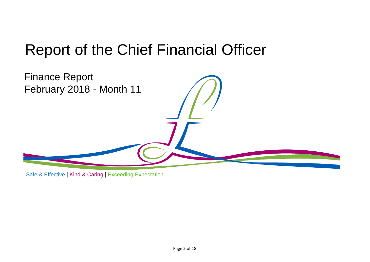# Report of the Chief Financial Officer



Safe & Effective | Kind & Caring | Exceeding Expectation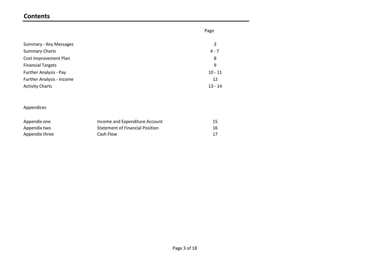#### **Contents**

|                                  | Page      |
|----------------------------------|-----------|
| Summary - Key Messages           | 3         |
| <b>Summary Charts</b>            | $4 - 7$   |
| Cost Improvement Plan            | 8         |
| <b>Financial Targets</b>         | 9         |
| Further Analysis - Pay           | $10 - 11$ |
| <b>Further Analysis - Income</b> | 12        |
| <b>Activity Charts</b>           | $13 - 14$ |

#### Appendices

| Appendix one   | Income and Expenditure Account         |  |
|----------------|----------------------------------------|--|
| Appendix two   | <b>Statement of Financial Position</b> |  |
| Appendix three | Cash Flow                              |  |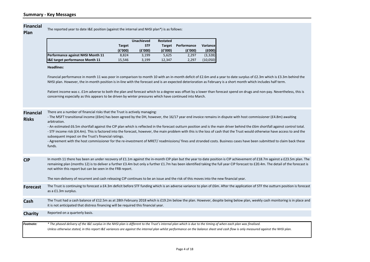#### **Financial**

The reported year to date I&E position (against the internal and NHSI plan\*) is as follows:

**Risks**

|                                   |               | <b>Unachieved</b> | Restated      |             |           |
|-----------------------------------|---------------|-------------------|---------------|-------------|-----------|
|                                   | <b>Target</b> | <b>STF</b>        | <b>Target</b> | Performance | Variancel |
|                                   | (£'000)       | (E'000)           | (E'000)       | (E'000)     | (6000)    |
| Performance against NHSI Month 11 | 8.824         | 3.199             | 5.625         | 2.297       | (3,328)   |
| I&E target performance Month 11   | 15.546        | 3.199             | 12.347        | 2,297       | (10,050)  |

#### **Headlines:**

Financial performance in month 11 was poor in comparison to month 10 with an in-month deficit of £2.6m and a year to date surplus of £2.3m which is £3.3m behind the NHSI plan. However, the in-month position is in-line with the forecast and is an expected deterioration as February is a short month which includes half term.

Patient income was c. £1m adverse to both the plan and forecast which to a degree was offset by a lower than forecast spend on drugs and non-pay. Nevertheless, this is concerning especially as this appears to be driven by winter pressures which have continued into March.

| <b>Financial</b> | There are a number of financial risks that the Trust is actively managing: |  |  |  |  |
|------------------|----------------------------------------------------------------------------|--|--|--|--|
|                  |                                                                            |  |  |  |  |

| - The MSFT transitional income (£6m) has been agreed by the DH, however, the 16/17 year end invoice remains in dispute with host commissioner (£4.8m) awaiting |  |
|----------------------------------------------------------------------------------------------------------------------------------------------------------------|--|
| arbitration.                                                                                                                                                   |  |

- An estimated £6.5m shortfall against the CIP plan which is reflected in the forecast outturn position and is the main driver behind the £6m shortfall against control total. - STF income risk (£4.4m). This is factored into the forecast, however, the main problem with this is the loss of cash that the Trust would otherwise have access to and the subsequent impact on the Trust's financial ratings.

- Agreement with the host commissioner for the re-investment of MRET/ readmissions/ fines and stranded costs. Business cases have been submitted to claim back these funds.

**CIP** In month 11 there has been an under recovery of £1.1m against the in-month CIP plan but the year to date position is CIP achievement of £18.7m against a £23.5m plan. The remaining plan (months 12) is to deliver a further £3.4m but only a further £1.7m has been identified taking the full year CIP forecast to £20.4m. The detail of the forecast is not within this report but can be seen in the FRB report.

The non-delivery of recurrent and cash releasing CIP continues to be an issue and the risk of this moves into the new financial year.

- **Forecast** The Trust is continuing to forecast a £4.3m deficit before STF funding which is an adverse variance to plan of £6m. After the application of STF the outturn position is forecast as a £1.3m surplus.
- **Cash** The Trust had a cash balance of £12.5m as at 28th February 2018 which is £19.2m below the plan. However, despite being below plan, weekly cash monitoring is in place and it is not anticipated that distress financing will be required this financial year.

**Charity** Reported on a quarterly basis.

*Footnote: Unless otherwise stated, in this report I&E variances are against the internal plan whilst performance on the balance sheet and cash flow is only measured against the NHSI plan. \* The phased delivery of the I&E surplus in the NHSI plan is different to the Trust's internal plan which is due to the timing of when each plan was finalised.*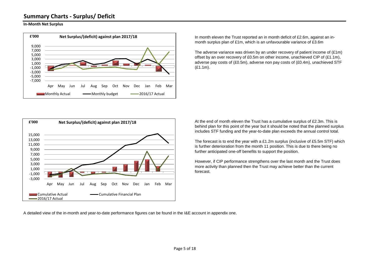#### **Summary Charts - Surplus/ Deficit**

#### **In-Month Net Surplus**



In month eleven the Trust reported an in month deficit of £2.6m, against an inmonth surplus plan of £1m, which is an unfavourable variance of £3.6m

The adverse variance was driven by an under recovery of patient income of  $(E1m)$ offset by an over recovery of £0.5m on other income, unachieved CIP of  $(E1.1m)$ , adverse pay costs of (£0.5m), adverse non pay costs of (£0.4m), unachieved STF (£1.1m).



At the end of month eleven the Trust has a cumulative surplus of £2.3m. This is behind plan for this point of the year but it should be noted that the planned surplus includes STF funding and the year-to-date plan exceeds the annual control total.

The forecast is to end the year with a £1.2m surplus (inclusive of £5.5m STF) which is further deterioration from the month 11 position. This is due to there being no further anticipated one-off benefits to support the position.

However, if CIP performance strengthens over the last month and the Trust does more activity than planned then the Trust may achieve better than the current forecast.

A detailed view of the in-month and year-to-date performance figures can be found in the I&E account in appendix one.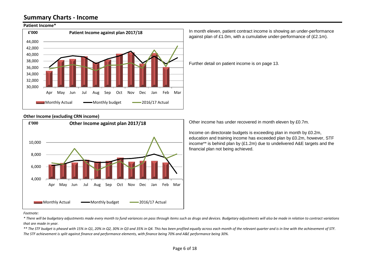#### **Summary Charts - Income**

#### **Patient Income\***



against plan of £1.0m, with a cumulative under-performance of (£2.1m).

In month eleven, patient contract income is showing an under-performance

Further detail on patient income is on page 13.

#### **Other Income (excluding CRN income)**



Other income has under recovered in month eleven by £0.7m.

Income on directorate budgets is exceeding plan in month by £0.2m, education and training income has exceeded plan by £0.2m, however, STF income\*\* is behind plan by (£1.2m) due to undelivered A&E targets and the financial plan not being achieved.

#### *Footnote:*

*\* There will be budgetary adjustments made every month to fund variances on pass through items such as drugs and devices. Budgetary adjustments will also be made in relation to contract variations that are made in year.*

*\*\* The STF budget is phased with 15% in Q1, 20% in Q2, 30% in Q3 and 35% in Q4. This has been profiled equally across each month of the relevant quarter and is in line with the achievement of STF. The STF achievement is split against finance and performance elements, with finance being 70% and A&E performance being 30%.*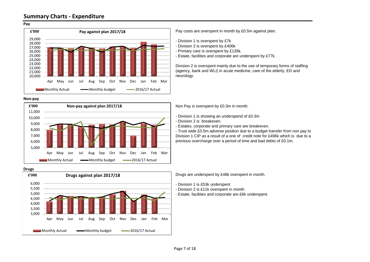



**Non-pay**





Pay costs are overspent in month by £0.5m against plan.

- Division 1 is overspent by £7k

- Division 2 is overspent by £406k
- Primary care is overspent by £135k.
- Estate, facilities and corporate are underspent by £77k.

Division 2 is overspent mainly due to the use of temporary forms of staffing (agency, bank and WLI) in acute medicine, care of the elderly, ED and neurology.

Non Pay is overspent by £0.3m in month.

- Division 1 is showing an underspend of £0.3m
- Division 2 is breakeven.
- Estates, corporate and primary care are breakeven.

- Trust wide £0.5m adverse position due to a budget transfer from non pay to Division 1 CIP as a result of a one of credit note for £496k which is due to a previous overcharge over a period of time and bad debts of £0.1m.

Drugs are underspent by £48k overspent in month.

- Division 1 is £53k underspent

- Division 2 is £11k overspent in month

- Estate, facilities and corporate are £6k underspent.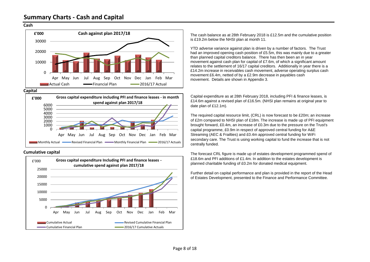#### **Cash**



**Capital**



**Cumulative capital**



The cash balance as at 28th February 2018 is £12.5m and the cumulative position is £19.2m below the NHSI plan at month 11.

YTD adverse variance against plan is driven by a number of factors. The Trust had an improved opening cash position of £5.5m, this was mainly due to a greater than planned capital creditors balance. There has then been an in year movement against cash plan for capital of £7.6m, of which a significant amount relates to the settlement of 16/17 capital creditors. Additionally in year there is a £14.2m increase in receivables cash movement, adverse operating surplus cash movement £6.4m, netted of by a £2.9m decrease in payables cash movement. Details are shown in Appendix 3.

Capital expenditure as at 28th February 2018, including PFI & finance leases, is £14.6m against a revised plan of £16.5m. (NHSI plan remains at original year to date plan of £12.1m).

The required capital resource limit, (CRL) is now forecast to be £20m; an increase of £2m compared to NHSI plan of £18m. The increase is made up of PFI equipment brought forward, £0.4m, an increase of £0.3m due to the pressure on the Trust's capital programme, £0.9m in respect of approved central funding for A&E Streaming (AEC & Frailties) and £0.4m approved central funding for WiFi secondary care. The Trust is using working capital to fund the increase that is not centrally funded.

The forecast CRL figure is made up of estates development programmed spend of £18.6m and PFI additions of £1.4m. In addition to the estates development is planned charitable funding of £0.2m for donated medical equipment.

Further detail on capital performance and plan is provided in the report of the Head of Estates Development, presented to the Finance and Performance Committee.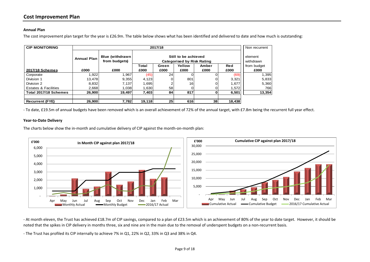#### **Annual Plan**

The cost improvement plan target for the year is £26.9m. The table below shows what has been identified and delivered to date and how much is outstanding:

| <b>CIP MONITORING</b>           |                    | 2017/18                                 |        |                      |        |                 |            |             |  |  |
|---------------------------------|--------------------|-----------------------------------------|--------|----------------------|--------|-----------------|------------|-------------|--|--|
|                                 | <b>Annual Plan</b> | <b>Blue (withdrawn</b><br>from budgets) |        | element<br>withdrawn |        |                 |            |             |  |  |
|                                 |                    |                                         | Total  | Green                | Yellow | Amber           | <b>Red</b> | from budget |  |  |
| <b>2017/18 Schemes</b>          | £000               | £000                                    | £000   | £000                 | £000   | £000            | £000       | £000        |  |  |
| Corporate                       | 1,922              | 1.967                                   | (45)   | 24                   |        |                 | (69)       | 1,395       |  |  |
| Division 1                      | 13,478             | 9,355                                   | 4,123  |                      | 801    | 0               | 3,321      | 5,833       |  |  |
| Division 2                      | 8,832              | 7,137                                   | 1,695  |                      | 16     | 0               | 1,677.     | 5,360       |  |  |
| <b>Estates &amp; Facilities</b> | 2,668              | 1,038                                   | 1.630  | 58                   |        | 0               | 1,572      | 766         |  |  |
| Total 2017/18 Schemes           | 26,900             | 19,497                                  | 7,403  | 84                   | 817    | 0               | 6,501      | 13,354      |  |  |
|                                 |                    |                                         |        |                      |        |                 |            |             |  |  |
| <b>Recurrent (FYE)</b>          | 26,900             | 7,782                                   | 19,118 | 25                   | 616    | 38 <sup>l</sup> | 18,438     |             |  |  |

- To date, £19.5m of annual budgets have been removed which is an overall achievement of 72% of the annual target, with £7.8m being the recurrent full year effect.

#### **Year-to-Date Delivery**

The charts below show the in-month and cumulative delivery of CIP against the month-on-month plan:



- At month eleven, the Trust has achieved £18.7m of CIP savings, compared to a plan of £23.5m which is an achievement of 80% of the year to date target. However, it should be noted that the spikes in CIP delivery in months three, six and nine are in the main due to the removal of underspent budgets on a non-recurrent basis.

- The Trust has profiled its CIP internally to achieve 7% in Q1, 22% in Q2, 33% in Q3 and 38% in Q4.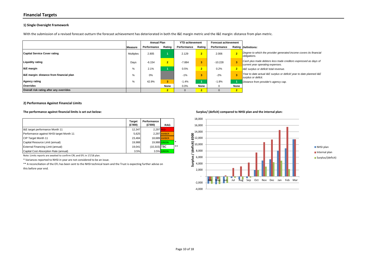#### **Financial Targets**

#### **1) Single Oversight Framework**

With the submission of a revised forecast outturn the forecast achievement has deteriorated in both the I&E margin metric and the I&E margin: distance from plan metric.

|                                          |           |             | <b>Annual Plan</b> |             | <b>YTD achievement</b> | <b>Forecast achievement</b> |                |                                                                                                       |
|------------------------------------------|-----------|-------------|--------------------|-------------|------------------------|-----------------------------|----------------|-------------------------------------------------------------------------------------------------------|
|                                          | Measure   | Performance | Rating             | Performance | Rating                 | Performance                 |                | Rating Definitions:                                                                                   |
| <b>Capital Service Cover rating</b>      | Multiples | 2.805       |                    | 2.129       | $\overline{2}$         | 2.006                       | $\overline{2}$ | Degree to which the provider generated income covers its financial<br>obligations.                    |
| <b>Liquidity rating</b>                  | Days      | $-6.154$    | $\overline{2}$     | $-7.884$    | з                      | $-10.228$                   | 3              | Cash plus trade debtors less trade creditors expressed as days of<br>current year operating expenses. |
| <b>I&amp;E</b> margin                    | %         | 2.1%        |                    | 0.5%        | $\overline{2}$         | 0.2%                        | $\overline{2}$ | 1&E surplus or deficit/ total revenue.                                                                |
| I&E margin: distance from financial plan | %         | $0\%$       |                    | $-1%$       | з                      | $-2%$                       | 3              | Year to date actual I&E surplus or deficit/ year to date planned I&E<br>surplus or deficit.           |
| <b>Agency rating</b>                     | %         | 42.9%       | 3                  | $-1.4%$     |                        | $-1.8%$                     |                | Distance from provider's agency cap.                                                                  |
| <b>Overrides</b>                         |           |             | None               | $0.0\%$     | None                   |                             | None           |                                                                                                       |
| Overall risk rating after any overrides  |           |             | $\overline{2}$     | 0           | $\bullet$              |                             | 2 <sup>1</sup> |                                                                                                       |

#### **2) Performance Against Financial Limits**

#### **The performance against financial limits is set out below: Surplus/ (deficit) compared to NHSI plan and the internal plan:**

|                                          | Target<br>(£'000) | Performance<br>(£'000) | <b>RAG</b>   |                          |
|------------------------------------------|-------------------|------------------------|--------------|--------------------------|
| I&E target performance Month 11          | 12.347            | 2.297 RED              |              |                          |
| Performance against NHSI target Month 11 | 5.625             |                        | 2.297 AMBER  |                          |
| CIP Target Month 11                      | 23.484            |                        | 18.689 AMBER |                          |
| Capital Resource Limit (annual)          | 19.988            | 19.988 GREEN           |              | $\overline{\phantom{a}}$ |
| External Financing Limit (annual)        | 19.041            | $(10,315)$ TBC         |              | **                       |
| Capital Cost Absorption Rate (annual)    | 3.5%              |                        | 3.5% GREEN   |                          |

Note: Limits reports are awaited to confirm CRL and EFL in 17/18 plan.

\* Variances reported to NHSI in year are not considered to be an issue.

\*\* A reconciliation of the EFL has been sent to the NHSI technical team and the Trust is expecting further advise on this before year end.

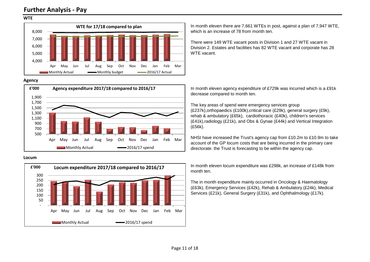#### **Further Analysis - Pay**

#### **WTE**



#### **Agency**



#### **Locum**



In month eleven there are 7,661 WTEs in post, against a plan of 7,947 WTE, which is an increase of 78 from month ten.

There were 149 WTE vacant posts in Division 1 and 27 WTE vacant in Division 2. Estates and facilities has 82 WTE vacant and corporate has 28 WTF vacant

In month eleven agency expenditure of £729k was incurred which is a £91k decrease compared to month ten.

The key areas of spend were emergency services group (£237k),orthopaedics (£100k),critical care (£29k), general surgery (£9k), rehab & ambulatory (£65k), cardiothoracic (£40k), children's services (£41k),radiology (£21k), and Obs & Gynae (£44k) and Vertical Integration (£56k).

NHSI have increased the Trust's agency cap from £10.2m to £10.9m to take account of the GP locum costs that are being incurred in the primary care directorate. the Trust is forecasting to be within the agency cap.

In month eleven locum expenditure was £298k, an increase of £148k from month ten.

The in month expenditure mainly occurred in Oncology & Haematology (£63k), Emergency Services (£42k), Rehab & Ambulatory (£24k), Medical Services (£21k), General Surgery (£31k), and Ophthalmology (£17k).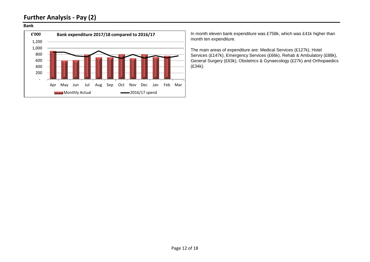### **Further Analysis - Pay (2)**

#### **Bank**



In month eleven bank expenditure was £758k, which was £41k higher than month ten expenditure.

The main areas of expenditure are: Medical Services (£127k), Hotel Services (£147k), Emergency Services (£66k), Rehab & Ambulatory (£88k), General Surgery (£63k), Obstetrics & Gynaecology (£27k) and Orthopaedics (£34k).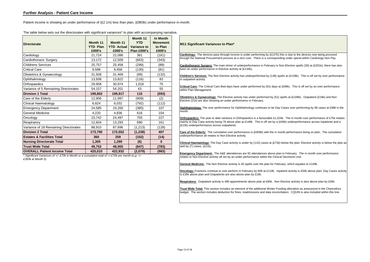Patient income is showing an under performance of (£2.1m) less than plan, (£983k) under performance in-month.

| <b>Directorate</b>                    | Month 11<br><b>YTD Plan</b><br>£000's | Month 11<br><b>YTD Actual</b><br>£000's | Month 11<br><b>YTD</b><br><b>Variance to</b><br>Plan £000's | In Month<br><b>Movement</b><br>to Plan<br>£000's |
|---------------------------------------|---------------------------------------|-----------------------------------------|-------------------------------------------------------------|--------------------------------------------------|
| Cardiology                            | 21,724                                | 22,086                                  | 361                                                         | (161)                                            |
| Cardiothoracic Surgery                | 13,172                                | 12,509                                  | (663)                                                       | (343)                                            |
| <b>Childrens Services</b>             | 25,757                                | 25,458                                  | (299)                                                       | (89)                                             |
| <b>Critical Care</b>                  | 9,588                                 | 9,458                                   | (130)                                                       | (81)                                             |
| Obstetrics & Gynaecology              | 31,508                                | 31,409                                  | (99)                                                        | (132)                                            |
| Ophthalmology                         | 13,938                                | 13,822                                  | (116)                                                       | 83                                               |
| Orthopaedics                          | 29,958                                | 30,974                                  | 1,016                                                       | 75                                               |
| Variance of 5 Remaining Directorates  | 54,157                                | 54,201                                  | 43                                                          | 55                                               |
| <b>Division 1 Total</b>               | 199,802                               | 199,917                                 | 115                                                         | (593)                                            |
| Care of the Elderly                   | 12.906                                | 11,997                                  | (909)                                                       | (2)                                              |
| Clinical Haematology                  | 6,824                                 | 6,032                                   | (792)                                                       | (112)                                            |
| <b>Emergency Department</b>           | 24,585                                | 24,200                                  | (385)                                                       | 107                                              |
| <b>General Medicine</b>               | 4,220                                 | 4,836                                   | 616                                                         | 154                                              |
| Oncology                              | 23,742                                | 24,497                                  | 755                                                         | 227                                              |
| Respiratory                           | 12.604                                | 13,293                                  | 690                                                         | 161                                              |
| Variance of 18 Remaining Directorates | 88,910                                | 87,696                                  | (1, 213)                                                    | (128)                                            |
| <b>Division 2 Total</b>               | 173,790                               | 172,552                                 | (1, 238)                                                    | 407                                              |
| <b>Estates &amp; Facilities Total</b> | 360                                   | 259                                     | (102)                                                       | (14)                                             |
| <b>Nursing Directorate Total</b>      | 1,305                                 | 1,299                                   | (6)                                                         | $\bf{0}$                                         |
| <b>Trust Wide Total</b>               | 49,752                                | 48,905                                  | (847)                                                       | (783)                                            |
| <b>OVERALL Patient Income Total</b>   | 425.010                               | 422,932                                 | (2,079)                                                     | (983)                                            |

The table below sets out the directorates with significant variances\* to plan with accompanying narrative.

*\* Significant Variances of +/- £70k in Month or a cumulative total of +/-£70k per month (e.g. +/- £350k at Month 5)*

**M11 Significant Variances to Plan\* Cardiology:** The devices pass through income is under performing by (£137k) this is due to the devices now being procured through the National Procurement process at a zero cost. There is a corresponding under spend within Cardiology Non Pay. **Cardiothoracic Surgery:** The main driver of underperformance in February is Non-Elective spells (28) at (£201k), there has also been an under performance in Elective activity at (£134k). **Children's Services:** The Non Elective activity has underperformed by (138) spells at (£138k). This is off set by over performance in outpatient activity. **Critical Care:** The Critical Care Bed days have under performed by (91) days at (£99k). This is off set by an over performance within Pain Management. **Obstetrics & Gynaecology:** The Elective activity has under performed by (51) spells at (£108k). Outpatient (£18k) and Non Elective (21k) are also showing an under performance in February. **Ophthalmology:** The over performance for Ophthalmology continues to be Day Cases over performing by 98 cases at £98k in the month. **Orthopaedics:** The year to date variance in Orthopaedics is a favourable £1,016k. The in month over performance of £75k relates mainly to Day Case activity being 78 above plan at £148k. This is off set by a (£46k) underperformance across Inpatients and a (£15k) underperformance across outpatients. **Care of the Elderly:** The cumulative over performance is (£909k) with the in month performance being on plan. The cumulative underperformance all relates to Non Elective activity. **Clinical Haematology:** The Day Case activity is under by (115) cases at (£73k) below the plan. Elective activity is below the plan as well by (7) cases, (£21k). **Emergency Department:** The A&E attendances are 92 attendances above plan in February. The in month over performance relates to Non Elective activity off set by an under performance within the Clinical Decisions Unit. **General Medicine:** The Non Elective activity is 40 spells over the plan for February, which equates to £149k. **Oncology:** Fractions continue to over perform in February by 608 at £118k. Inpatient activity is £56k above plan, Day Cases activity is £35k above plan and Outpatients are also above plan by £18k.

**Respiratory:** Outpatient activity is 480 appointments above plan at £85k. Non Elective activity is also above plan by £56k.

**Trust Wide Total:** This section includes an element of the additional Winter Funding allocation as announced in the Chancellors budget. The section includes deduction for fines, readmissions and data reconciliation. CQUIN is also included within this line.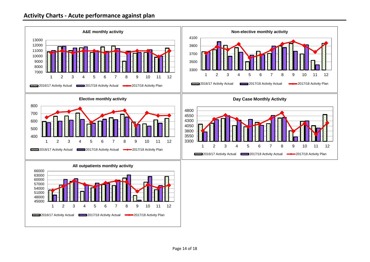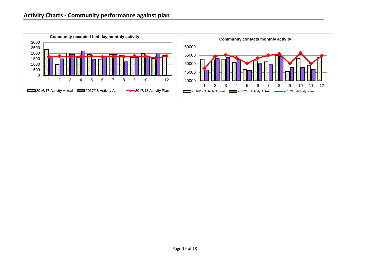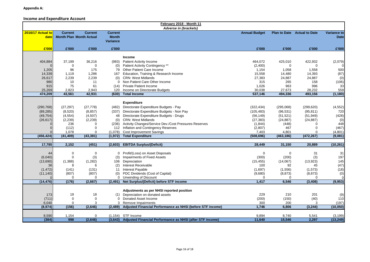#### **Income and Expenditure Account**

|                   | February 2018 - Month 11 |                                |                 |                                                                                            |                      |                 |                                    |                       |  |
|-------------------|--------------------------|--------------------------------|-----------------|--------------------------------------------------------------------------------------------|----------------------|-----------------|------------------------------------|-----------------------|--|
|                   |                          |                                |                 | <b>Adverse in (brackets)</b>                                                               |                      |                 |                                    |                       |  |
| 2016/17 Actual to | <b>Current</b>           | <b>Current</b>                 | <b>Current</b>  |                                                                                            | <b>Annual Budget</b> |                 | <b>Plan to Date</b> Actual to Date | Variance to           |  |
| date              |                          | <b>Month Plan Month Actual</b> | <b>Month</b>    |                                                                                            |                      |                 |                                    | <b>Date</b>           |  |
|                   |                          |                                | <b>Variance</b> |                                                                                            |                      |                 |                                    |                       |  |
| £'000             | £'000                    | £'000                          | £'000           |                                                                                            | £'000                | £'000           | £'000                              | £'000                 |  |
|                   |                          |                                |                 |                                                                                            |                      |                 |                                    |                       |  |
|                   |                          |                                |                 | Income                                                                                     |                      |                 |                                    |                       |  |
| 404,884           | 37,199                   | 36,216                         | (983)           | <b>Patient Activity Income</b>                                                             | 464,072              | 425,010         | 422,932                            | (2,079)               |  |
|                   | $\Omega$                 | $\Omega$                       | (0)             | Patient Activity Contingency **                                                            | (2,400)              | 0               | $\Omega$                           |                       |  |
| 1,205             | 96                       | 175                            | 79              | Other Patient Care Income                                                                  | 1,154                | 1,058           | 1,558                              | 500                   |  |
| 14,339            | 1,119                    | 1,286                          |                 | 167 Education, Training & Research Income                                                  | 15,558               | 14,480          | 14,393                             | (87)                  |  |
| 26,617            | 2,239                    | 2,239                          | (0)             | <b>CRN: West Midlands</b>                                                                  | 27,383               | 24,887          | 24,887                             | (0)                   |  |
| 980               | 10                       | 11                             | $\Omega$        | Non Patient Care Other Income                                                              | 315                  | 265             | 158                                | (106)                 |  |
| 915               | 75                       | 61                             | (14)            | <b>Private Patient Income</b>                                                              | 1,026                | 963             | 996                                | 33                    |  |
| 25,269            | 2,823                    | 2,943                          | 120             | Income on Directorate Budgets                                                              | 30,038               | 27,673          | 28,232                             | 559                   |  |
| 474.209           | 43,561                   | 42,931                         | (630)           | <b>Total Income</b>                                                                        | 537,146              | 494,336         | 493,156                            | (1, 180)              |  |
|                   |                          |                                |                 |                                                                                            |                      |                 |                                    |                       |  |
|                   |                          |                                |                 | <b>Expenditure</b>                                                                         |                      |                 |                                    |                       |  |
| (290, 768)        | (27, 297)                | (27, 778)                      |                 | (482) Directorate Expenditure Budgets - Pay                                                | (322, 434)           | (295,068)       | (299, 620)                         | (4, 552)              |  |
| (89, 285)         | (8,520)                  | (8, 857)                       |                 | (337) Directorate Expenditure Budgets - Non Pay                                            | (105, 483)           | (96, 531)       | (95, 811)                          | 720                   |  |
| (49, 754)         | (4, 554)                 | (4,507)                        | 48              | Directorate Expenditure Budgets - Drugs                                                    | (56, 149)            | (51, 521)       | (51, 949)                          | (428)                 |  |
| (26, 617)         | (2,239)                  | (2, 239)                       | (0)             | <b>CRN: West Midlands</b>                                                                  | (27, 383)            | (24, 887)       | (24, 887)                          | (0)                   |  |
|                   | 236                      | 0                              |                 | (236) Activity Changes/Service Dev./Cost Pressures Reserves                                | (1, 844)             | (448)           | $\Omega$                           | 448                   |  |
|                   | (112)                    | $\Omega$                       |                 | 112 Inflation and Contingency Reserves                                                     | (2,807)              | 467             | $\Omega$                           | (467)                 |  |
|                   | 1,078                    | $\Omega$                       | (1,078)         | <b>Cost Improvement Savings</b>                                                            | 7,403                | 4,801           | $\Omega$                           | (4, 801)              |  |
| (456, 424)        | (41, 409)                | (43, 381)                      | (1, 972)        | <b>Total Expenditure</b>                                                                   | (508, 696)           | (463, 186)      | (472, 267)                         | (9,081)               |  |
|                   |                          |                                |                 |                                                                                            |                      |                 |                                    |                       |  |
| 17,785            | 2,152                    | (451)                          | (2,603)         | <b>EBITDA Surplus/(Deficit)</b>                                                            | 28,449               | 31,150          | 20,889                             | (10, 261)             |  |
|                   |                          |                                |                 |                                                                                            |                      |                 |                                    |                       |  |
| 44                | $\Omega$                 | $\Omega$                       | $\mathbf{0}$    | Profit/(Loss) on Asset Disposals                                                           | $\mathbf 0$          | 0               | 31                                 | 31                    |  |
| (6,040)           | $\Omega$                 | (3)                            | (3)             | Impairments of Fixed Assets                                                                | (300)                | (200)           | (3)                                | 197                   |  |
| (13,690)          | (1, 388)                 | (1,282)                        |                 | 106 Depreciation                                                                           | (15, 455)            | (14,067)        | (13, 923)                          | 145                   |  |
| 36                | 8                        | 6                              | (2)             | Interest Receivable                                                                        | 100                  | 92              | 45                                 | (47)                  |  |
| (1, 472)          | (141)                    | (131)                          | 11              | <b>Interest Payable</b>                                                                    | (1,697)              | (1,556)         | (1, 573)                           | (18)                  |  |
| (11, 140)         | (807)                    | (807)                          | (0)             | PDC Dividends (Cost of Capital)                                                            | (9,680)              | (8, 873)        | (8, 873)                           | (0)                   |  |
|                   | $\Omega$                 | $\Omega$                       | $\mathbf{0}$    | Unwinding of Discount                                                                      | $\Omega$             | 0               | $\Omega$                           | $\Omega$              |  |
| (14, 476)         | (176)                    | (2,667)                        |                 | (2,491) Net Surplus/(Deficit) before STF income                                            | 1,417                | 6,546           | (3, 408)                           | (9,953)               |  |
|                   |                          |                                |                 |                                                                                            |                      |                 |                                    |                       |  |
|                   |                          |                                |                 | Adjustments as per NHSI reported position                                                  |                      |                 |                                    |                       |  |
| 173               | 19                       | 18                             | (1)             | Depreciation on donated assets                                                             | 229                  | 210             | 201                                | (9)                   |  |
| (711)             | $\Omega$                 | $\mathbf 0$                    | $\Omega$        | Donated Asset Income                                                                       | (200)                | (150)           | (40)                               | 110                   |  |
| 6,040             | $\Omega$                 | 3                              | 3               | Remove Impairments                                                                         | 300                  | 200             | 3                                  | (197)                 |  |
| (8, 974)          | (156)                    | (2,646)                        | (2, 489)        | Adjusted Financial Performance as NHSI (before STF income)                                 | 1,746                | 6,806           | (3, 244)                           | (10, 050)             |  |
|                   |                          |                                |                 |                                                                                            |                      |                 |                                    |                       |  |
| 8,590<br>(384)    | 1,154<br>998             | $\Omega$<br>(2,646)            |                 | $(1, 154)$ STF Income<br>(3,643) Adjusted Financial Performance as NHSI (after STF income) | 9,894<br>11.640      | 8,740<br>15.546 | 5,541<br>2.297                     | (3, 199)<br>(13, 249) |  |
|                   |                          |                                |                 |                                                                                            |                      |                 |                                    |                       |  |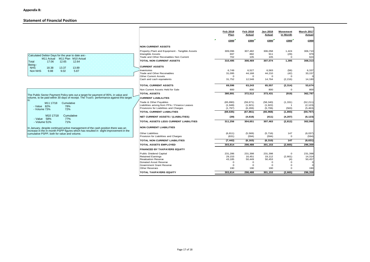#### **Statement of Financial Position**

|                                                                                                                                                                                  |                                                                     | Feb 2018<br><b>Plan</b> | Feb 2018<br><b>Actual</b> | Jan 2018<br>Actual | Movement<br>in Month | <b>March 2017</b><br><b>Actual</b> |
|----------------------------------------------------------------------------------------------------------------------------------------------------------------------------------|---------------------------------------------------------------------|-------------------------|---------------------------|--------------------|----------------------|------------------------------------|
|                                                                                                                                                                                  |                                                                     | ×<br>£000               | £000                      | £000               | £000                 | £000                               |
|                                                                                                                                                                                  | <b>NON CURRENT ASSETS</b>                                           |                         |                           |                    |                      |                                    |
|                                                                                                                                                                                  | Property, Plant and Equipment - Tangible Assets                     | 309,096                 | 307,482                   | 306,058            | 1,424                | 306,710                            |
| Calculated Debtor Days for the year to date are:-                                                                                                                                | <b>Intangible Assets</b><br>Trade and Other Receivables Non Current | 697<br>702              | 882<br>105                | 911<br>105         | (29)<br>$\Omega$     | 979<br>624                         |
| M11 Actual M11 Plan M10 Actual<br>17.06<br>12.65<br>12.64<br>Total                                                                                                               | <b>TOTAL NON CURRENT ASSETS</b>                                     | 310,495                 | 308.469                   | 307,074            | 1,395                | 308,313                            |
| Being:-<br><b>NHS</b><br>18.38<br>13.37<br>13.89                                                                                                                                 | <b>CURRENT ASSETS</b>                                               |                         |                           |                    |                      |                                    |
| 9.88<br>5.87<br>Non NHS<br>9.02                                                                                                                                                  | Inventories                                                         | 6.749                   | 6.527                     | 6,583              | (56)                 | 6,337                              |
|                                                                                                                                                                                  | Trade and Other Receivables                                         | 31,095                  | 44,168                    | 44,210             | (42)                 | 33,157                             |
|                                                                                                                                                                                  | <b>Other Current Assets</b>                                         | $\mathbf{O}$            | $\mathbf 0$               | $\mathbf 0$        | $\Omega$             |                                    |
|                                                                                                                                                                                  | Cash and cash equivalents                                           | 31,752                  | 12,548                    | 14,764             | (2, 216)             | 14,180                             |
|                                                                                                                                                                                  | <b>TOTAL CURRENT ASSETS</b>                                         | 69,596                  | 63,243                    | 65,557             | (2, 314)             | 53,674                             |
|                                                                                                                                                                                  | Non Current Assets Held for Sale                                    | 800                     | 800                       | 800                | $\mathbf 0$          | 800                                |
|                                                                                                                                                                                  | <b>TOTAL ASSETS</b>                                                 | 380,891                 | 372,512                   | 373,431            | (919)                | 362,787                            |
| The Public Sector Payment Policy sets out a target for payment of 95%, in value and<br>volume, to be paid within 30 days of receipt. The Trust's performance against this target | <b>ICURRENT LIABLILITES</b>                                         |                         |                           |                    |                      |                                    |
| M <sub>11</sub> 17/18<br>Cumulative                                                                                                                                              | Trade & Other Payables                                              | (65, 890)               | (59, 671)                 | (58, 340)          | (1, 331)             | (52, 211)                          |
| - Value 82%<br>78%                                                                                                                                                               | Liabilities arising from PFIs / Finance Leases                      | (1,948)                 | (1,921)                   | (1,922)            |                      | (2, 123)                           |
| - Volume 73%<br>72%                                                                                                                                                              | Provisions for Liabilities and Charges                              | (1,797)                 | (6, 269)                  | (5,706)            | (563)                | (5, 463)                           |
| M <sub>10</sub> 17/18<br>Cumulative                                                                                                                                              | <b>TOTAL CURRENT LIABILITIES</b>                                    | (69, 635)               | (67, 861)                 | (65, 968)          | (1,893)              | (59, 797)                          |
| - Value 58%<br>77%                                                                                                                                                               | <b>NET CURRENT ASSETS / (LIABILITIES)</b>                           | (39)                    | (4, 618)                  | (411)              | (4, 207)             | (6, 123)                           |
| 71%<br>- Volume 51%                                                                                                                                                              | <b>TOTAL ASSETS LESS CURRENT LIABILITIES</b>                        | 311,256                 | 304,651                   | 307,463            | (2, 812)             | 302,990                            |
| In January, despite continued active management of the cash position there was an<br>increase in the in-month PSPP figures which has resulted in slight improvement in the       | <b>NON CURRENT LIABILITIES</b>                                      |                         |                           |                    |                      |                                    |
| cumulative PSPP, both for value and volume.                                                                                                                                      | <b>Other Liabilities</b>                                            | (6, 811)                | (5, 569)                  | (5,716)            | 147                  | (6,037)                            |
|                                                                                                                                                                                  | Provision for Liabilities and Charges                               | (631)                   | (594)                     | (594)              | $\mathbf 0$          | (594)                              |
|                                                                                                                                                                                  | TOTAL NON CURRENT LIABILITIES                                       | (7, 442)                | (6, 163)                  | (6, 310)           | 147                  | (6, 631)                           |
|                                                                                                                                                                                  | <b>TOTAL ASSETS EMPLOYED</b>                                        | 303,814                 | 298,488                   | 301,153            | (2,665)              | 296,359                            |
|                                                                                                                                                                                  | <b>FINANCED BY TAXPAYERS EQUITY</b>                                 |                         |                           |                    |                      |                                    |
|                                                                                                                                                                                  | Public Dividend Capital                                             | 231,286                 | 231,398                   | 231,398            | $\Omega$             | 231,398                            |
|                                                                                                                                                                                  | <b>Retained Earnings</b>                                            | 29,153                  | 16,451                    | 19,112             | (2,661)              | 14,314                             |
|                                                                                                                                                                                  | <b>Revaluation Reserve</b><br>Donated Asset Reserve                 | 43,185<br>$\Omega$      | 50,449<br>$\Omega$        | 50,453<br>$\Omega$ | (4)<br>$\cap$        | 50,457                             |
|                                                                                                                                                                                  | Government Grant Reserve                                            | $\Omega$                | $\Omega$                  | $\Omega$           | $\Omega$             |                                    |
|                                                                                                                                                                                  | <b>Other Reserves</b>                                               | 190                     | 190                       | 190                | $\Omega$             | 190                                |
|                                                                                                                                                                                  | <b>TOTAL TAXPAYERS EQUITY</b>                                       | 303.814                 | 298.488                   | 301.153            | (2.665)              | 296.359                            |